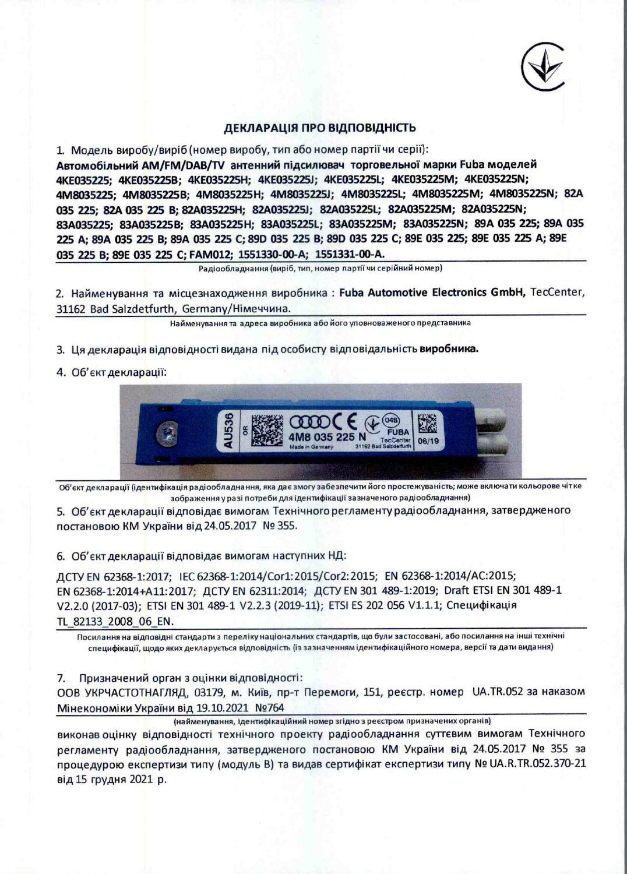

### ДЕКЛАРАЦІЯ ПРО ВІДПОВІДНІСТЬ

1. Модель виробу/виріб (номер виробу, тип або номер партії чи серії):

Автомобільний АМ/FM/DAB/TV антенний підсилювач торговельної марки Fuba моделей 4KE035225; 4KE035225B; 4KE035225H; 4KE035225J; 4KE035225L; 4KE035225M; 4KE035225N; 4M8035225; 4M8035225B; 4M8035225H; 4M8035225J; 4M8035225L; 4M8035225M; 4M8035225N; 82A 035 225; 82A 035 225 B; 82A035225H; 82A035225J; 82A035225L; 82A035225M; 82A035225N; 83A035225: 83A035225B: 83A035225H: 83A035225L: 83A035225M; 83A035225N; 89A 035 225; 89A 035 225 A; 89A 035 225 B; 89A 035 225 C; 89D 035 225 B; 89D 035 225 C; 89E 035 225; 89E 035 225 A; 89E 035 225 B; 89E 035 225 C; FAM012; 1551330-00-A; 1551331-00-A.

Радіообладнання (виріб, тип, номер партії чи серійний номер)

2. Найменування та місцезнаходження виробника: Fuba Automotive Electronics GmbH, TecCenter, 31162 Bad Salzdetfurth, Germany/Німеччина.

Найменування та адреса виробника або його уповноваженого представника

- 3. Ця декларація відповідності видана під особисту відповідальність виробника.
- 4. Об'єкт декларації:



Об'єкт декларації (ідентифікація радіообладнання, яка дає змогу забезпечити його простежуваність; може включати кольорове чітке зображення у разі потреби для ідентифікації зазначеного радіообладнання)

5. Об'єкт декларації відповідає вимогам Технічного регламенту радіообладнання, затвердженого постановою КМ України від 24.05.2017 № 355.

6. Об'єкт декларації відповідає вимогам наступних НД:

ДСТУ EN 62368-1:2017; IEC 62368-1:2014/Cor1:2015/Cor2:2015; EN 62368-1:2014/AC:2015; EN 62368-1:2014+A11:2017; ДСТУ EN 62311:2014; ДСТУ EN 301 489-1:2019; Draft ETSI EN 301 489-1 V2.2.0 (2017-03); ETSI EN 301 489-1 V2.2.3 (2019-11); ETSI ES 202 056 V1.1.1; Специфікація TL 82133 2008 06 EN.

Посилання на відповідні стандарти з переліку національних стандартів, що були застосовані, або посилання на інші технічні специфікації, щодо яких декларується відповідність (із зазначенням ідентифікаційного номера, версії та дати видання)

Призначений орган з оцінки відповідності: 7.

ООВ УКРЧАСТОТНАГЛЯД, 03179, м. Київ, пр-т Перемоги, 151, реєстр. номер UA.TR.052 за наказом Мінекономіки України від 19.10.2021 №764

(найменування, ідентифікаційний номер згідно з реєстром призначених органів)

виконав оцінку відповідності технічного проекту радіообладнання суттєвим вимогам Технічного регламенту радіообладнання, затвердженого постановою КМ України від 24.05.2017 № 355 за процедурою експертизи типу (модуль B) та видав сертифікат експертизи типу № UA.R.TR.052.370-21 від 15 грудня 2021 р.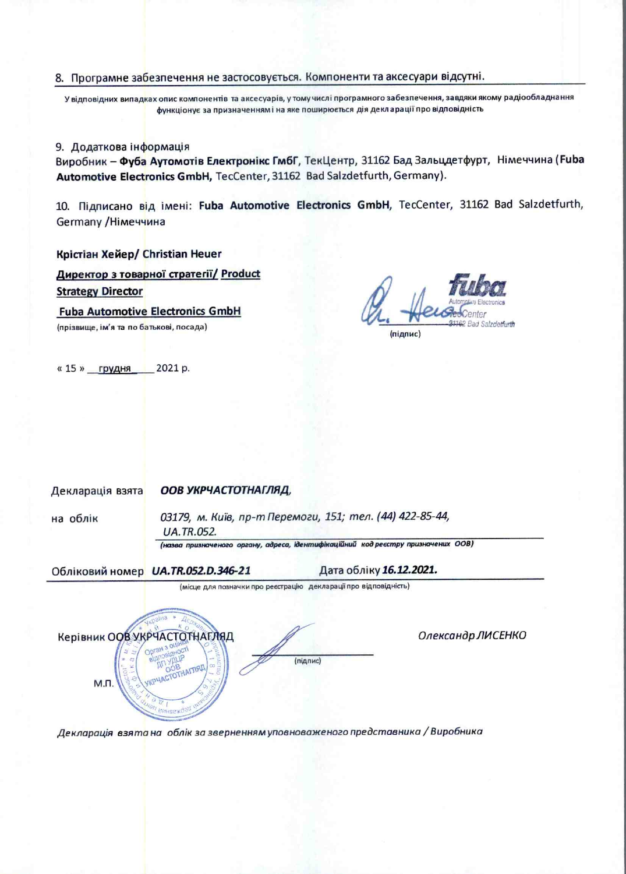## 8. Програмне забезпечення не застосовується. Компоненти та аксесуари відсутні.

У відповідних випадках опис компонентів та аксесуарів, у тому числі програмного забезпечення, завдяки якому радіообладнання функціонує за призначенням і на яке поширюється дія декларації про відповідність

#### 9. Додаткова інформація

Виробник - Фуба Аутомотів Електронікс ГмбГ, ТекЦентр, 31162 Бад Зальцдетфурт, Німеччина (Fuba Automotive Electronics GmbH, TecCenter, 31162 Bad Salzdetfurth, Germany).

10. Підписано від імені: Fuba Automotive Electronics GmbH, TecCenter, 31162 Bad Salzdetfurth, Germany /Німеччина

#### Крістіан Хейер/ Christian Heuer

Директор з товарної стратегії/ Product **Strategy Director** 

**Fuba Automotive Electronics GmbH** 

(прізвище, ім'я та по батькові, посада)

(підпис)

«15» грудня 2021 р.

#### ООВ УКРЧАСТОТНАГЛЯД, Декларація взята

на облік

03179, м. Київ, пр-т Перемоги, 151; тел. (44) 422-85-44, **UA.TR.052.** 

(назва призначеного органу, адреса, ідентифікаційний код реєстру призначених ООВ)

(підпис)

(місце для позначки про реєстрацію декларації про відповідність)

Обліковий номер **UA.TR.052.D.346-21** 

Дата обліку 16.12.2021.

**Керівник ООВ УКРЧАСТОТНАГЛЯД** HAITIST М.П.

Олександр ЛИСЕНКО

Декларація взята на облік за зверненням уповноваженого представника / Виробника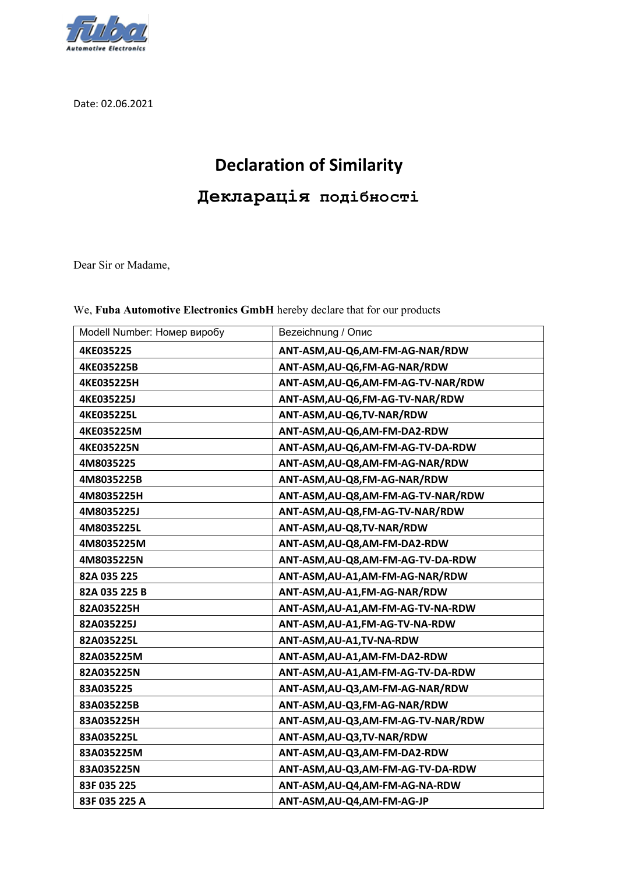

Date: 02.06.2021

# **Declaration of Similarity**

**Декларація подібності**

Dear Sir or Madame,

| Modell Number: Номер виробу | <b>Bezeichnung / Опис</b>           |
|-----------------------------|-------------------------------------|
| 4KE035225                   | ANT-ASM, AU-Q6, AM-FM-AG-NAR/RDW    |
| 4KE035225B                  | ANT-ASM, AU-Q6, FM-AG-NAR/RDW       |
| 4KE035225H                  | ANT-ASM, AU-Q6, AM-FM-AG-TV-NAR/RDW |
| <b>4KE035225J</b>           | ANT-ASM, AU-Q6, FM-AG-TV-NAR/RDW    |
| 4KE035225L                  | ANT-ASM, AU-Q6, TV-NAR/RDW          |
| 4KE035225M                  | ANT-ASM, AU-Q6, AM-FM-DA2-RDW       |
| 4KE035225N                  | ANT-ASM, AU-Q6, AM-FM-AG-TV-DA-RDW  |
| 4M8035225                   | ANT-ASM, AU-Q8, AM-FM-AG-NAR/RDW    |
| 4M8035225B                  | ANT-ASM, AU-Q8, FM-AG-NAR/RDW       |
| 4M8035225H                  | ANT-ASM, AU-Q8, AM-FM-AG-TV-NAR/RDW |
| 4M8035225J                  | ANT-ASM, AU-Q8, FM-AG-TV-NAR/RDW    |
| 4M8035225L                  | ANT-ASM, AU-Q8, TV-NAR/RDW          |
| 4M8035225M                  | ANT-ASM, AU-Q8, AM-FM-DA2-RDW       |
| 4M8035225N                  | ANT-ASM, AU-Q8, AM-FM-AG-TV-DA-RDW  |
| 82A 035 225                 | ANT-ASM, AU-A1, AM-FM-AG-NAR/RDW    |
| 82A 035 225 B               | ANT-ASM, AU-A1, FM-AG-NAR/RDW       |
| 82A035225H                  | ANT-ASM, AU-A1, AM-FM-AG-TV-NA-RDW  |
| 82A035225J                  | ANT-ASM, AU-A1, FM-AG-TV-NA-RDW     |
| 82A035225L                  | ANT-ASM, AU-A1, TV-NA-RDW           |
| 82A035225M                  | ANT-ASM, AU-A1, AM-FM-DA2-RDW       |
| 82A035225N                  | ANT-ASM, AU-A1, AM-FM-AG-TV-DA-RDW  |
| 83A035225                   | ANT-ASM, AU-Q3, AM-FM-AG-NAR/RDW    |
| 83A035225B                  | ANT-ASM, AU-Q3, FM-AG-NAR/RDW       |
| 83A035225H                  | ANT-ASM, AU-Q3, AM-FM-AG-TV-NAR/RDW |
| 83A035225L                  | ANT-ASM, AU-Q3, TV-NAR/RDW          |
| 83A035225M                  | ANT-ASM, AU-Q3, AM-FM-DA2-RDW       |
| 83A035225N                  | ANT-ASM, AU-Q3, AM-FM-AG-TV-DA-RDW  |
| 83F 035 225                 | ANT-ASM, AU-Q4, AM-FM-AG-NA-RDW     |
| 83F 035 225 A               | ANT-ASM, AU-Q4, AM-FM-AG-JP         |

We, **Fuba Automotive Electronics GmbH** hereby declare that for our products